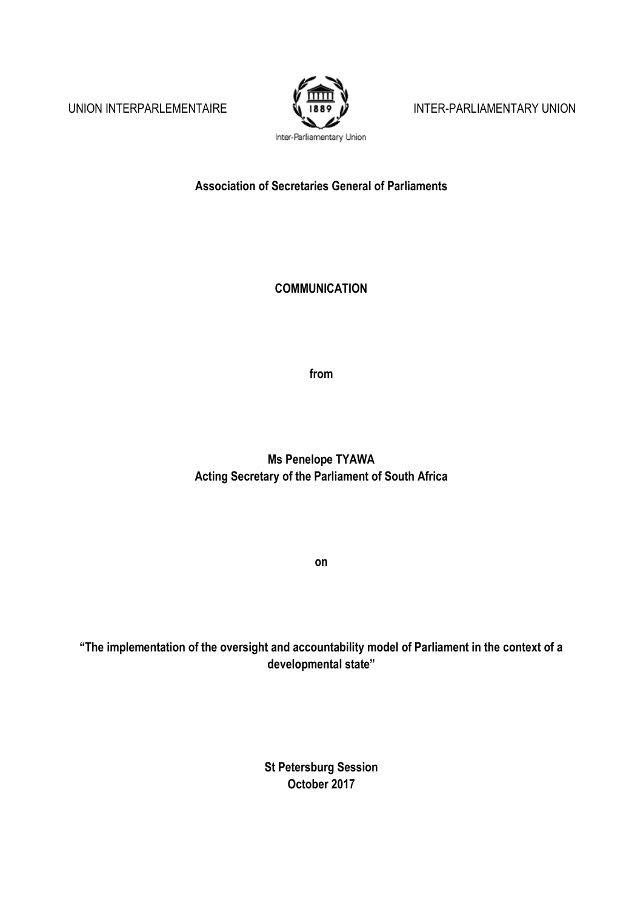

UNION INTERPARLEMENTAIRE  $\sqrt{1889}$   $\mu$  Inter-parliamentary union

Inter-Parliamentary Union

**Association of Secretaries General of Parliaments**

**COMMUNICATION**

**from**

**Ms Penelope TYAWA Acting Secretary of the Parliament of South Africa** 

**on**

**"The implementation of the oversight and accountability model of Parliament in the context of a developmental state"**

> **St Petersburg Session October 2017**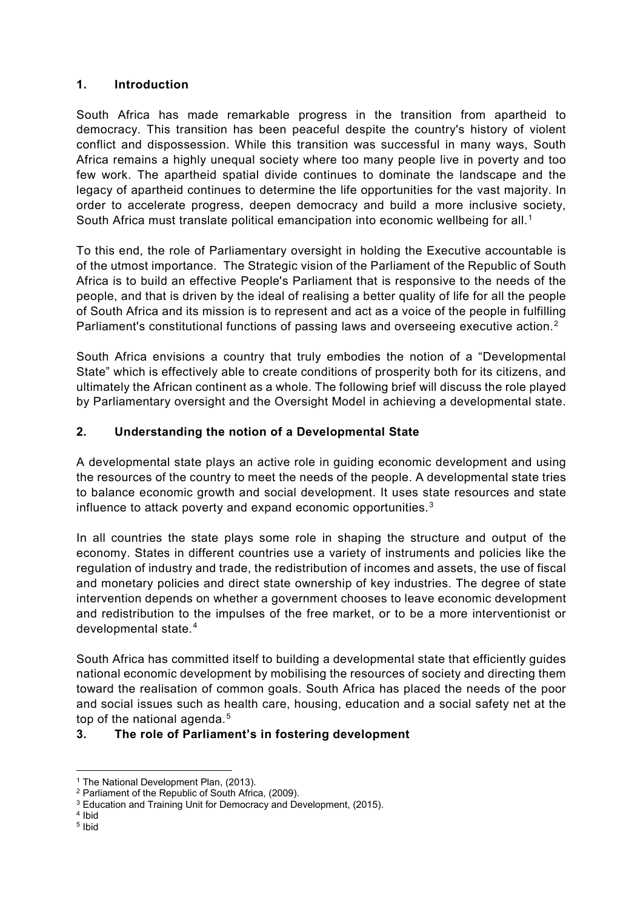#### **1. Introduction**

South Africa has made remarkable progress in the transition from apartheid to democracy. This transition has been peaceful despite the country's history of violent conflict and dispossession. While this transition was successful in many ways, South Africa remains a highly unequal society where too many people live in poverty and too few work. The apartheid spatial divide continues to dominate the landscape and the legacy of apartheid continues to determine the life opportunities for the vast majority. In order to accelerate progress, deepen democracy and build a more inclusive society, South Africa must translate political emancipation into economic wellbeing for all.<sup>[1](#page-1-0)</sup>

To this end, the role of Parliamentary oversight in holding the Executive accountable is of the utmost importance. The Strategic vision of the Parliament of the Republic of South Africa is to build an effective People's Parliament that is responsive to the needs of the people, and that is driven by the ideal of realising a better quality of life for all the people of South Africa and its mission is to represent and act as a voice of the people in fulfilling Parliament's constitutional functions of passing laws and overseeing executive action.<sup>[2](#page-1-1)</sup>

South Africa envisions a country that truly embodies the notion of a "Developmental State" which is effectively able to create conditions of prosperity both for its citizens, and ultimately the African continent as a whole. The following brief will discuss the role played by Parliamentary oversight and the Oversight Model in achieving a developmental state.

# **2. Understanding the notion of a Developmental State**

A developmental state plays an active role in guiding economic development and using the resources of the country to meet the needs of the people. A developmental state tries to balance economic growth and social development. It uses state resources and state influence to attack poverty and expand economic opportunities. $^3$  $^3$ 

In all countries the state plays some role in shaping the structure and output of the economy. States in different countries use a variety of instruments and policies like the regulation of industry and trade, the redistribution of incomes and assets, the use of fiscal and monetary policies and direct state ownership of key industries. The degree of state intervention depends on whether a government chooses to leave economic development and redistribution to the impulses of the free market, or to be a more interventionist or developmental state.[4](#page-1-3)

South Africa has committed itself to building a developmental state that efficiently guides national economic development by mobilising the resources of society and directing them toward the realisation of common goals. South Africa has placed the needs of the poor and social issues such as health care, housing, education and a social safety net at the top of the national agenda.<sup>[5](#page-1-4)</sup>

# **3. The role of Parliament's in fostering development**

<span id="page-1-4"></span><sup>5</sup> Ibid

 $\overline{a}$ <sup>1</sup> The National Development Plan, (2013).

<span id="page-1-1"></span><span id="page-1-0"></span><sup>2</sup> Parliament of the Republic of South Africa, (2009).

<sup>&</sup>lt;sup>3</sup> Education and Training Unit for Democracy and Development, (2015).

<span id="page-1-3"></span><span id="page-1-2"></span><sup>4</sup> Ibid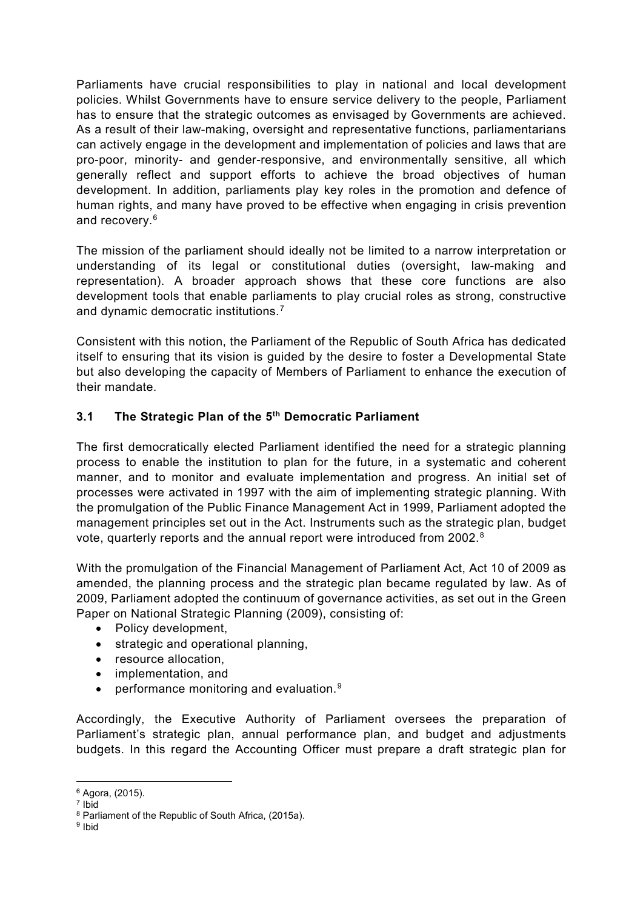Parliaments have crucial responsibilities to play in national and local development policies. Whilst Governments have to ensure service delivery to the people, Parliament has to ensure that the strategic outcomes as envisaged by Governments are achieved. As a result of their law-making, oversight and representative functions, parliamentarians can actively engage in the development and implementation of policies and laws that are pro-poor, minority- and gender-responsive, and environmentally sensitive, all which generally reflect and support efforts to achieve the broad objectives of human development. In addition, parliaments play key roles in the promotion and defence of human rights, and many have proved to be effective when engaging in crisis prevention and recovery.<sup>[6](#page-2-0)</sup>

The mission of the parliament should ideally not be limited to a narrow interpretation or understanding of its legal or constitutional duties (oversight, law-making and representation). A broader approach shows that these core functions are also development tools that enable parliaments to play crucial roles as strong, constructive and dynamic democratic institutions.<sup>[7](#page-2-1)</sup>

Consistent with this notion, the Parliament of the Republic of South Africa has dedicated itself to ensuring that its vision is guided by the desire to foster a Developmental State but also developing the capacity of Members of Parliament to enhance the execution of their mandate.

### **3.1 The Strategic Plan of the 5th Democratic Parliament**

The first democratically elected Parliament identified the need for a strategic planning process to enable the institution to plan for the future, in a systematic and coherent manner, and to monitor and evaluate implementation and progress. An initial set of processes were activated in 1997 with the aim of implementing strategic planning. With the promulgation of the Public Finance Management Act in 1999, Parliament adopted the management principles set out in the Act. Instruments such as the strategic plan, budget vote, quarterly reports and the annual report were introduced from 2002.[8](#page-2-2)

With the promulgation of the Financial Management of Parliament Act, Act 10 of 2009 as amended, the planning process and the strategic plan became regulated by law. As of 2009, Parliament adopted the continuum of governance activities, as set out in the Green Paper on National Strategic Planning (2009), consisting of:

- Policy development,
- strategic and operational planning,
- resource allocation,
- implementation, and
- performance monitoring and evaluation. $9$

Accordingly, the Executive Authority of Parliament oversees the preparation of Parliament's strategic plan, annual performance plan, and budget and adjustments budgets. In this regard the Accounting Officer must prepare a draft strategic plan for

 $\overline{a}$ <sup>6</sup> Agora, (2015).

<span id="page-2-1"></span><span id="page-2-0"></span> $<sup>7</sup>$  Ibid</sup>

<span id="page-2-2"></span><sup>8</sup> Parliament of the Republic of South Africa, (2015a).

<span id="page-2-3"></span><sup>9</sup> Ibid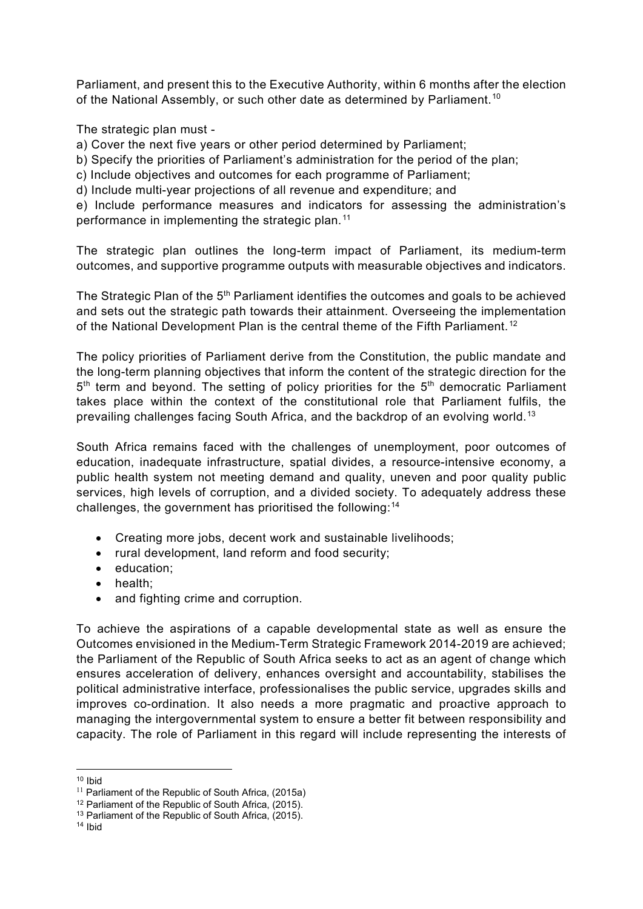Parliament, and present this to the Executive Authority, within 6 months after the election of the National Assembly, or such other date as determined by Parliament.<sup>[10](#page-3-0)</sup>

The strategic plan must -

a) Cover the next five years or other period determined by Parliament;

b) Specify the priorities of Parliament's administration for the period of the plan;

c) Include objectives and outcomes for each programme of Parliament;

d) Include multi-year projections of all revenue and expenditure; and

e) Include performance measures and indicators for assessing the administration's performance in implementing the strategic plan.<sup>[11](#page-3-1)</sup>

The strategic plan outlines the long-term impact of Parliament, its medium-term outcomes, and supportive programme outputs with measurable objectives and indicators.

The Strategic Plan of the 5<sup>th</sup> Parliament identifies the outcomes and goals to be achieved and sets out the strategic path towards their attainment. Overseeing the implementation of the National Development Plan is the central theme of the Fifth Parliament.<sup>[12](#page-3-2)</sup>

The policy priorities of Parliament derive from the Constitution, the public mandate and the long-term planning objectives that inform the content of the strategic direction for the  $5<sup>th</sup>$  term and beyond. The setting of policy priorities for the  $5<sup>th</sup>$  democratic Parliament takes place within the context of the constitutional role that Parliament fulfils, the prevailing challenges facing South Africa, and the backdrop of an evolving world.[13](#page-3-3)

South Africa remains faced with the challenges of unemployment, poor outcomes of education, inadequate infrastructure, spatial divides, a resource-intensive economy, a public health system not meeting demand and quality, uneven and poor quality public services, high levels of corruption, and a divided society. To adequately address these challenges, the government has prioritised the following:[14](#page-3-4)

- Creating more jobs, decent work and sustainable livelihoods;
- rural development, land reform and food security;
- education;
- health;
- and fighting crime and corruption.

To achieve the aspirations of a capable developmental state as well as ensure the Outcomes envisioned in the Medium-Term Strategic Framework 2014-2019 are achieved; the Parliament of the Republic of South Africa seeks to act as an agent of change which ensures acceleration of delivery, enhances oversight and accountability, stabilises the political administrative interface, professionalises the public service, upgrades skills and improves co-ordination. It also needs a more pragmatic and proactive approach to managing the intergovernmental system to ensure a better fit between responsibility and capacity. The role of Parliament in this regard will include representing the interests of

 $\overline{a}$ <sup>10</sup> Ibid

<span id="page-3-1"></span><span id="page-3-0"></span><sup>&</sup>lt;sup>11</sup> Parliament of the Republic of South Africa, (2015a)

<span id="page-3-2"></span><sup>&</sup>lt;sup>12</sup> Parliament of the Republic of South Africa, (2015).

<sup>&</sup>lt;sup>13</sup> Parliament of the Republic of South Africa,  $(2015)$ .

<span id="page-3-4"></span><span id="page-3-3"></span><sup>14</sup> Ibid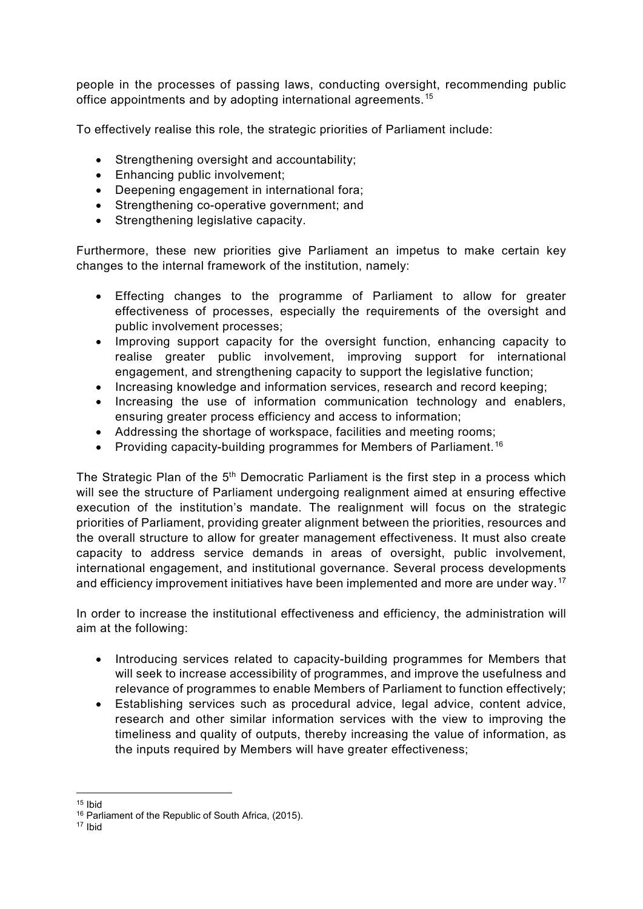people in the processes of passing laws, conducting oversight, recommending public office appointments and by adopting international agreements.<sup>[15](#page-4-0)</sup>

To effectively realise this role, the strategic priorities of Parliament include:

- Strengthening oversight and accountability;
- Enhancing public involvement;
- Deepening engagement in international fora;
- Strengthening co-operative government; and
- Strengthening legislative capacity.

Furthermore, these new priorities give Parliament an impetus to make certain key changes to the internal framework of the institution, namely:

- Effecting changes to the programme of Parliament to allow for greater effectiveness of processes, especially the requirements of the oversight and public involvement processes;
- Improving support capacity for the oversight function, enhancing capacity to realise greater public involvement, improving support for international engagement, and strengthening capacity to support the legislative function;
- Increasing knowledge and information services, research and record keeping;
- Increasing the use of information communication technology and enablers, ensuring greater process efficiency and access to information;
- Addressing the shortage of workspace, facilities and meeting rooms;
- Providing capacity-building programmes for Members of Parliament.<sup>[16](#page-4-1)</sup>

The Strategic Plan of the 5<sup>th</sup> Democratic Parliament is the first step in a process which will see the structure of Parliament undergoing realignment aimed at ensuring effective execution of the institution's mandate. The realignment will focus on the strategic priorities of Parliament, providing greater alignment between the priorities, resources and the overall structure to allow for greater management effectiveness. It must also create capacity to address service demands in areas of oversight, public involvement, international engagement, and institutional governance. Several process developments and efficiency improvement initiatives have been implemented and more are under way.<sup>[17](#page-4-2)</sup>

In order to increase the institutional effectiveness and efficiency, the administration will aim at the following:

- Introducing services related to capacity-building programmes for Members that will seek to increase accessibility of programmes, and improve the usefulness and relevance of programmes to enable Members of Parliament to function effectively;
- Establishing services such as procedural advice, legal advice, content advice, research and other similar information services with the view to improving the timeliness and quality of outputs, thereby increasing the value of information, as the inputs required by Members will have greater effectiveness;

 $\overline{a}$  $15$  Ibid

<span id="page-4-1"></span><span id="page-4-0"></span><sup>16</sup> Parliament of the Republic of South Africa, (2015).

<span id="page-4-2"></span><sup>17</sup> Ibid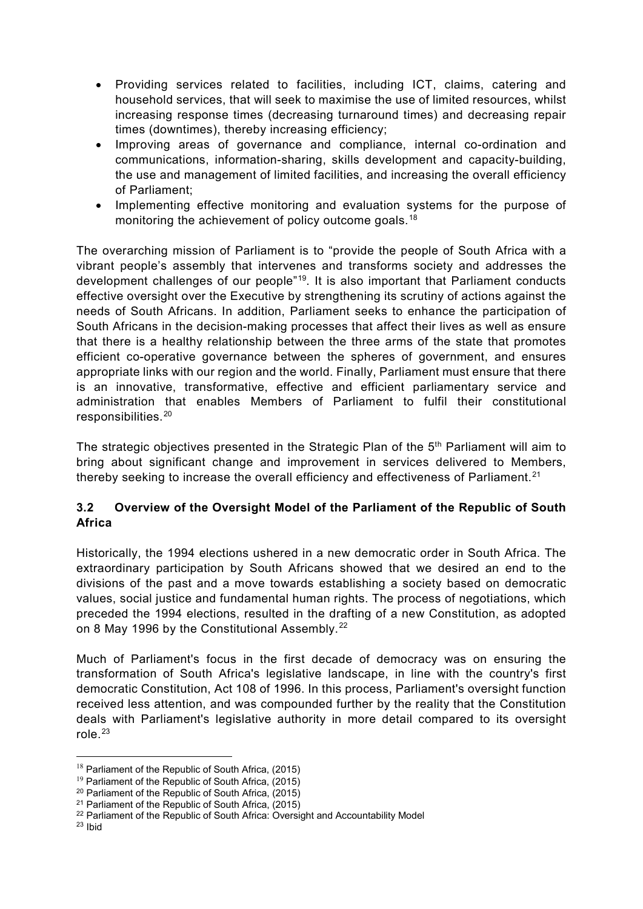- Providing services related to facilities, including ICT, claims, catering and household services, that will seek to maximise the use of limited resources, whilst increasing response times (decreasing turnaround times) and decreasing repair times (downtimes), thereby increasing efficiency;
- Improving areas of governance and compliance, internal co-ordination and communications, information-sharing, skills development and capacity-building, the use and management of limited facilities, and increasing the overall efficiency of Parliament;
- Implementing effective monitoring and evaluation systems for the purpose of monitoring the achievement of policy outcome goals.<sup>[18](#page-5-0)</sup>

The overarching mission of Parliament is to "provide the people of South Africa with a vibrant people's assembly that intervenes and transforms society and addresses the development challenges of our people<sup>"19</sup>. It is also important that Parliament conducts effective oversight over the Executive by strengthening its scrutiny of actions against the needs of South Africans. In addition, Parliament seeks to enhance the participation of South Africans in the decision-making processes that affect their lives as well as ensure that there is a healthy relationship between the three arms of the state that promotes efficient co-operative governance between the spheres of government, and ensures appropriate links with our region and the world. Finally, Parliament must ensure that there is an innovative, transformative, effective and efficient parliamentary service and administration that enables Members of Parliament to fulfil their constitutional responsibilities.[20](#page-5-2)

The strategic objectives presented in the Strategic Plan of the 5<sup>th</sup> Parliament will aim to bring about significant change and improvement in services delivered to Members, thereby seeking to increase the overall efficiency and effectiveness of Parliament. $21$ 

### **3.2 Overview of the Oversight Model of the Parliament of the Republic of South Africa**

Historically, the 1994 elections ushered in a new democratic order in South Africa. The extraordinary participation by South Africans showed that we desired an end to the divisions of the past and a move towards establishing a society based on democratic values, social justice and fundamental human rights. The process of negotiations, which preceded the 1994 elections, resulted in the drafting of a new Constitution, as adopted on 8 May 1996 by the Constitutional Assembly.<sup>[22](#page-5-4)</sup>

Much of Parliament's focus in the first decade of democracy was on ensuring the transformation of South Africa's legislative landscape, in line with the country's first democratic Constitution, Act 108 of 1996. In this process, Parliament's oversight function received less attention, and was compounded further by the reality that the Constitution deals with Parliament's legislative authority in more detail compared to its oversight role $23$ 

<span id="page-5-0"></span><sup>&</sup>lt;sup>18</sup> Parliament of the Republic of South Africa, (2015)

<span id="page-5-1"></span><sup>&</sup>lt;sup>19</sup> Parliament of the Republic of South Africa, (2015)

<span id="page-5-2"></span><sup>20</sup> Parliament of the Republic of South Africa, (2015)

<sup>&</sup>lt;sup>21</sup> Parliament of the Republic of South Africa,  $(2015)$ 

<span id="page-5-5"></span><span id="page-5-4"></span><span id="page-5-3"></span><sup>&</sup>lt;sup>22</sup> Parliament of the Republic of South Africa: Oversight and Accountability Model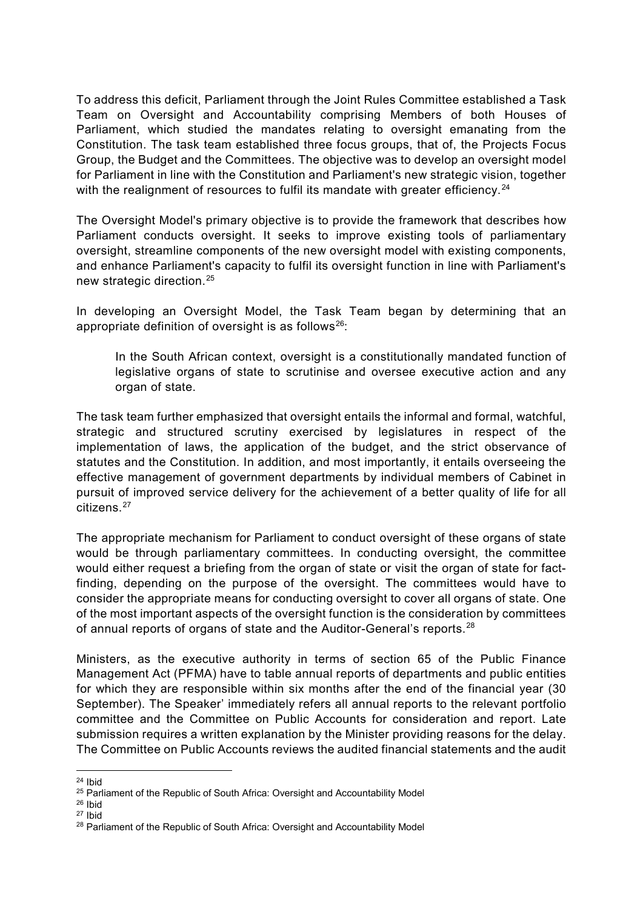To address this deficit, Parliament through the Joint Rules Committee established a Task Team on Oversight and Accountability comprising Members of both Houses of Parliament, which studied the mandates relating to oversight emanating from the Constitution. The task team established three focus groups, that of, the Projects Focus Group, the Budget and the Committees. The objective was to develop an oversight model for Parliament in line with the Constitution and Parliament's new strategic vision, together with the realignment of resources to fulfil its mandate with greater efficiency. $24$ 

The Oversight Model's primary objective is to provide the framework that describes how Parliament conducts oversight. It seeks to improve existing tools of parliamentary oversight, streamline components of the new oversight model with existing components, and enhance Parliament's capacity to fulfil its oversight function in line with Parliament's new strategic direction.[25](#page-6-1)

In developing an Oversight Model, the Task Team began by determining that an appropriate definition of oversight is as follows<sup>26</sup>:

In the South African context, oversight is a constitutionally mandated function of legislative organs of state to scrutinise and oversee executive action and any organ of state.

The task team further emphasized that oversight entails the informal and formal, watchful, strategic and structured scrutiny exercised by legislatures in respect of the implementation of laws, the application of the budget, and the strict observance of statutes and the Constitution. In addition, and most importantly, it entails overseeing the effective management of government departments by individual members of Cabinet in pursuit of improved service delivery for the achievement of a better quality of life for all citizens.<sup>[27](#page-6-3)</sup>

The appropriate mechanism for Parliament to conduct oversight of these organs of state would be through parliamentary committees. In conducting oversight, the committee would either request a briefing from the organ of state or visit the organ of state for factfinding, depending on the purpose of the oversight. The committees would have to consider the appropriate means for conducting oversight to cover all organs of state. One of the most important aspects of the oversight function is the consideration by committees of annual reports of organs of state and the Auditor-General's reports.[28](#page-6-4)

Ministers, as the executive authority in terms of section 65 of the Public Finance Management Act (PFMA) have to table annual reports of departments and public entities for which they are responsible within six months after the end of the financial year (30 September). The Speaker' immediately refers all annual reports to the relevant portfolio committee and the Committee on Public Accounts for consideration and report. Late submission requires a written explanation by the Minister providing reasons for the delay. The Committee on Public Accounts reviews the audited financial statements and the audit

 $\overline{a}$ <sup>24</sup> Ibid

<span id="page-6-1"></span><span id="page-6-0"></span><sup>&</sup>lt;sup>25</sup> Parliament of the Republic of South Africa: Oversight and Accountability Model

<span id="page-6-2"></span> $26$  Ibid

<span id="page-6-3"></span><sup>27</sup> Ibid

<span id="page-6-4"></span><sup>&</sup>lt;sup>28</sup> Parliament of the Republic of South Africa: Oversight and Accountability Model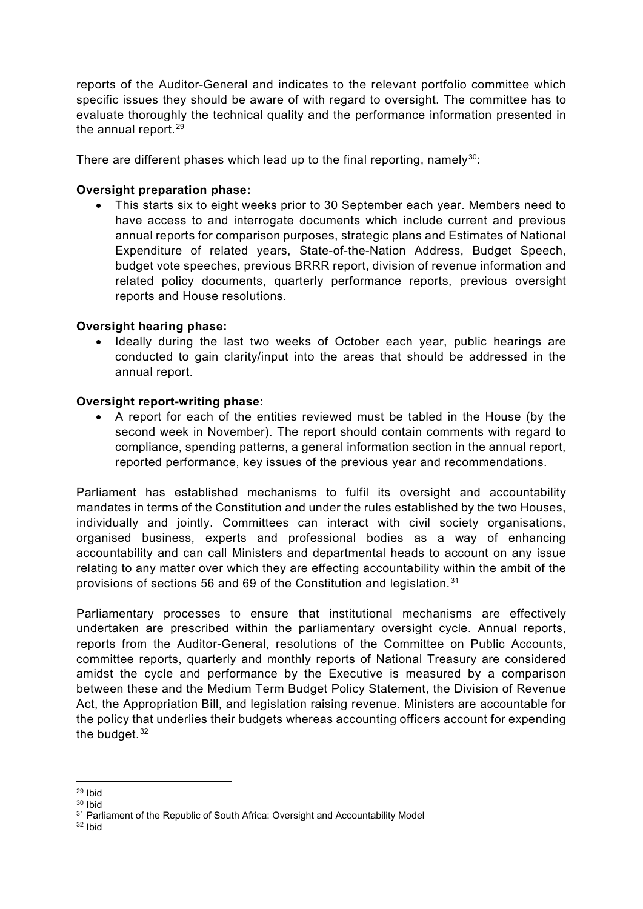reports of the Auditor-General and indicates to the relevant portfolio committee which specific issues they should be aware of with regard to oversight. The committee has to evaluate thoroughly the technical quality and the performance information presented in the annual report. $29$ 

There are different phases which lead up to the final reporting, namely<sup>30</sup>:

#### **Oversight preparation phase:**

• This starts six to eight weeks prior to 30 September each year. Members need to have access to and interrogate documents which include current and previous annual reports for comparison purposes, strategic plans and Estimates of National Expenditure of related years, State-of-the-Nation Address, Budget Speech, budget vote speeches, previous BRRR report, division of revenue information and related policy documents, quarterly performance reports, previous oversight reports and House resolutions.

#### **Oversight hearing phase:**

• Ideally during the last two weeks of October each year, public hearings are conducted to gain clarity/input into the areas that should be addressed in the annual report.

#### **Oversight report-writing phase:**

• A report for each of the entities reviewed must be tabled in the House (by the second week in November). The report should contain comments with regard to compliance, spending patterns, a general information section in the annual report, reported performance, key issues of the previous year and recommendations.

Parliament has established mechanisms to fulfil its oversight and accountability mandates in terms of the Constitution and under the rules established by the two Houses, individually and jointly. Committees can interact with civil society organisations, organised business, experts and professional bodies as a way of enhancing accountability and can call Ministers and departmental heads to account on any issue relating to any matter over which they are effecting accountability within the ambit of the provisions of sections 56 and 69 of the Constitution and legislation.[31](#page-7-2)

Parliamentary processes to ensure that institutional mechanisms are effectively undertaken are prescribed within the parliamentary oversight cycle. Annual reports, reports from the Auditor-General, resolutions of the Committee on Public Accounts, committee reports, quarterly and monthly reports of National Treasury are considered amidst the cycle and performance by the Executive is measured by a comparison between these and the Medium Term Budget Policy Statement, the Division of Revenue Act, the Appropriation Bill, and legislation raising revenue. Ministers are accountable for the policy that underlies their budgets whereas accounting officers account for expending the budget. $32$ 

 $\overline{a}$  $29$  Ibid

<span id="page-7-1"></span><span id="page-7-0"></span><sup>30</sup> Ibid

<span id="page-7-2"></span><sup>&</sup>lt;sup>31</sup> Parliament of the Republic of South Africa: Oversight and Accountability Model

<span id="page-7-3"></span><sup>32</sup> Ibid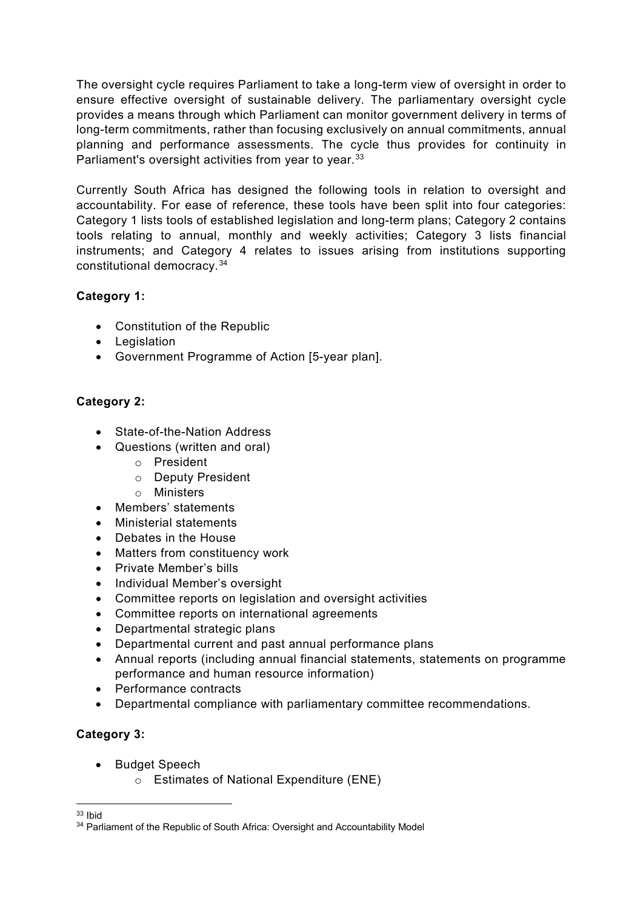The oversight cycle requires Parliament to take a long-term view of oversight in order to ensure effective oversight of sustainable delivery. The parliamentary oversight cycle provides a means through which Parliament can monitor government delivery in terms of long-term commitments, rather than focusing exclusively on annual commitments, annual planning and performance assessments. The cycle thus provides for continuity in Parliament's oversight activities from year to year.<sup>[33](#page-8-0)</sup>

Currently South Africa has designed the following tools in relation to oversight and accountability. For ease of reference, these tools have been split into four categories: Category 1 lists tools of established legislation and long-term plans; Category 2 contains tools relating to annual, monthly and weekly activities; Category 3 lists financial instruments; and Category 4 relates to issues arising from institutions supporting constitutional democracy.[34](#page-8-1)

# **Category 1:**

- Constitution of the Republic
- Legislation
- Government Programme of Action [5-year plan].

# **Category 2:**

- State-of-the-Nation Address
- Questions (written and oral)
	- o President
	- o Deputy President
	- o Ministers
- Members' statements
- Ministerial statements
- Debates in the House
- Matters from constituency work
- Private Member's bills
- Individual Member's oversight
- Committee reports on legislation and oversight activities
- Committee reports on international agreements
- Departmental strategic plans
- Departmental current and past annual performance plans
- Annual reports (including annual financial statements, statements on programme performance and human resource information)
- Performance contracts
- Departmental compliance with parliamentary committee recommendations.

# **Category 3:**

- Budget Speech
	- o Estimates of National Expenditure (ENE)

 $\overline{a}$ <sup>33</sup> Ibid

<span id="page-8-1"></span><span id="page-8-0"></span><sup>&</sup>lt;sup>34</sup> Parliament of the Republic of South Africa: Oversight and Accountability Model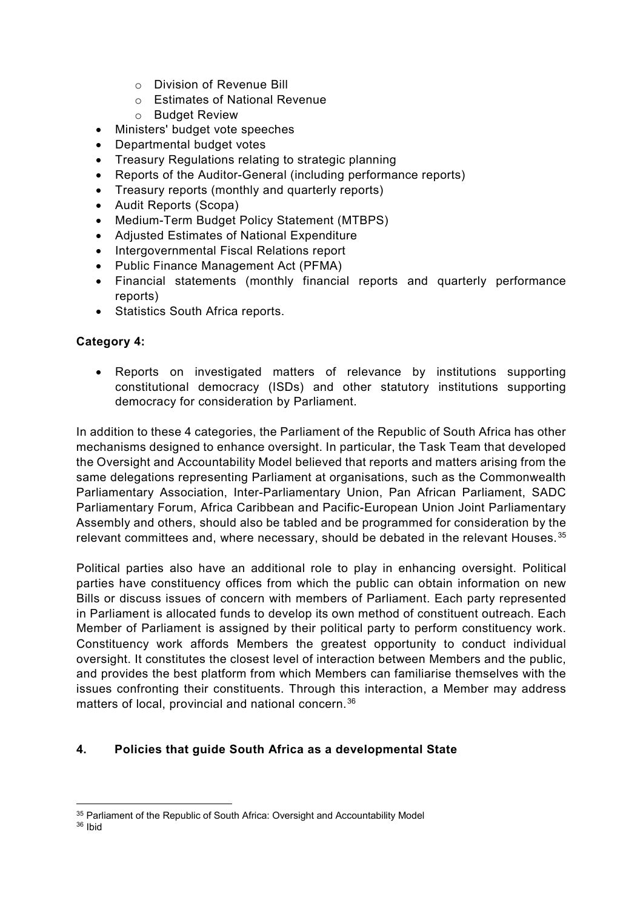- o Division of Revenue Bill
- o Estimates of National Revenue
- o Budget Review
- Ministers' budget vote speeches
- Departmental budget votes
- Treasury Regulations relating to strategic planning
- Reports of the Auditor-General (including performance reports)
- Treasury reports (monthly and quarterly reports)
- Audit Reports (Scopa)
- Medium-Term Budget Policy Statement (MTBPS)
- Adjusted Estimates of National Expenditure
- Intergovernmental Fiscal Relations report
- Public Finance Management Act (PFMA)
- Financial statements (monthly financial reports and quarterly performance reports)
- Statistics South Africa reports.

#### **Category 4:**

• Reports on investigated matters of relevance by institutions supporting constitutional democracy (ISDs) and other statutory institutions supporting democracy for consideration by Parliament.

In addition to these 4 categories, the Parliament of the Republic of South Africa has other mechanisms designed to enhance oversight. In particular, the Task Team that developed the Oversight and Accountability Model believed that reports and matters arising from the same delegations representing Parliament at organisations, such as the Commonwealth Parliamentary Association, Inter-Parliamentary Union, Pan African Parliament, SADC Parliamentary Forum, Africa Caribbean and Pacific-European Union Joint Parliamentary Assembly and others, should also be tabled and be programmed for consideration by the relevant committees and, where necessary, should be debated in the relevant Houses. [35](#page-9-0)

Political parties also have an additional role to play in enhancing oversight. Political parties have constituency offices from which the public can obtain information on new Bills or discuss issues of concern with members of Parliament. Each party represented in Parliament is allocated funds to develop its own method of constituent outreach. Each Member of Parliament is assigned by their political party to perform constituency work. Constituency work affords Members the greatest opportunity to conduct individual oversight. It constitutes the closest level of interaction between Members and the public, and provides the best platform from which Members can familiarise themselves with the issues confronting their constituents. Through this interaction, a Member may address matters of local, provincial and national concern.<sup>[36](#page-9-1)</sup>

#### **4. Policies that guide South Africa as a developmental State**

 $\overline{a}$ <sup>35</sup> Parliament of the Republic of South Africa: Oversight and Accountability Model

<span id="page-9-1"></span><span id="page-9-0"></span><sup>36</sup> Ibid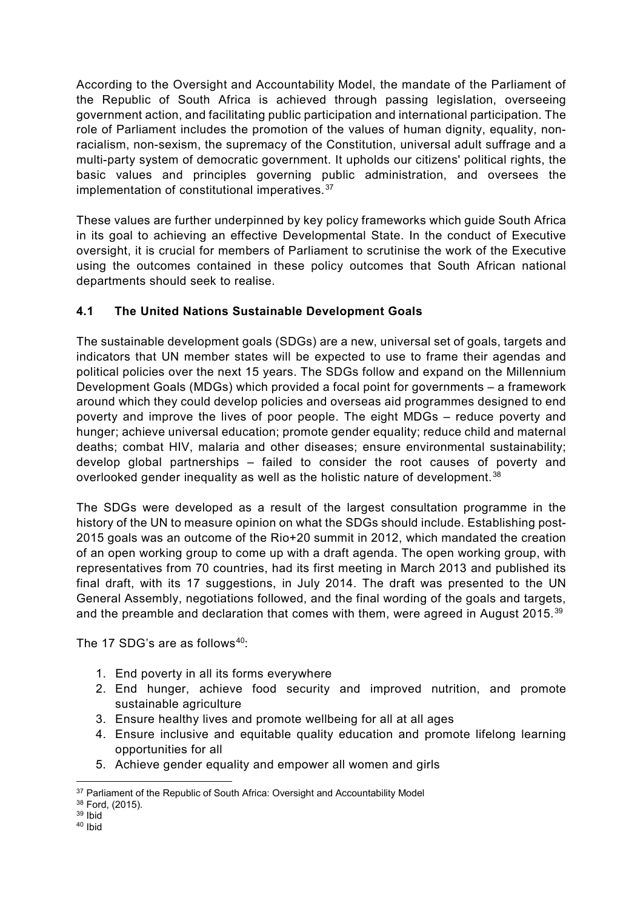According to the Oversight and Accountability Model, the mandate of the Parliament of the Republic of South Africa is achieved through passing legislation, overseeing government action, and facilitating public participation and international participation. The role of Parliament includes the promotion of the values of human dignity, equality, nonracialism, non-sexism, the supremacy of the Constitution, universal adult suffrage and a multi-party system of democratic government. It upholds our citizens' political rights, the basic values and principles governing public administration, and oversees the implementation of constitutional imperatives.<sup>[37](#page-10-0)</sup>

These values are further underpinned by key policy frameworks which guide South Africa in its goal to achieving an effective Developmental State. In the conduct of Executive oversight, it is crucial for members of Parliament to scrutinise the work of the Executive using the outcomes contained in these policy outcomes that South African national departments should seek to realise.

# **4.1 The United Nations Sustainable Development Goals**

The sustainable development goals (SDGs) are a new, universal set of goals, targets and indicators that UN member states will be expected to use to frame their agendas and political policies over the next 15 years. The SDGs follow and expand on the Millennium Development Goals (MDGs) which provided a focal point for governments – a framework around which they could develop policies and overseas aid programmes designed to end poverty and improve the lives of poor people. The eight MDGs – reduce poverty and hunger; achieve universal education; promote gender equality; reduce child and maternal deaths; combat HIV, malaria and other diseases; ensure environmental sustainability; develop global partnerships – failed to consider the root causes of poverty and overlooked gender inequality as well as the holistic nature of development.<sup>[38](#page-10-1)</sup>

The SDGs were developed as a result of the largest consultation programme in the history of the UN to measure opinion on what the SDGs should include. Establishing post-2015 goals was an outcome of the Rio+20 summit in 2012, which mandated the creation of an open working group to come up with a draft agenda. The open working group, with representatives from 70 countries, had its first meeting in March 2013 and published its final draft, with its 17 suggestions, in July 2014. The draft was presented to the UN General Assembly, negotiations followed, and the final wording of the goals and targets, and the preamble and declaration that comes with them, were agreed in August 2015. $39$ 

The 17 SDG's are as follows<sup>40.</sup>

- 1. End poverty in all its forms everywhere
- 2. End hunger, achieve food security and improved nutrition, and promote sustainable agriculture
- 3. Ensure healthy lives and promote wellbeing for all at all ages
- 4. Ensure inclusive and equitable quality education and promote lifelong learning opportunities for all
- 5. Achieve gender equality and empower all women and girls

 $\overline{a}$ <sup>37</sup> Parliament of the Republic of South Africa: Oversight and Accountability Model

<span id="page-10-1"></span><span id="page-10-0"></span><sup>38</sup> Ford, (2015).

<sup>39</sup> Ibid

<span id="page-10-3"></span><span id="page-10-2"></span><sup>40</sup> Ibid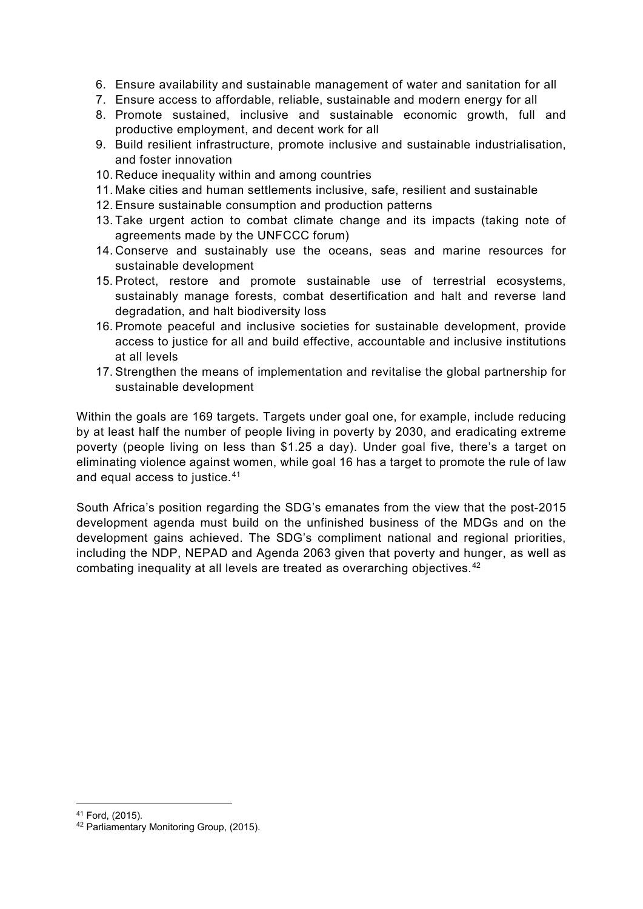- 6. Ensure availability and sustainable management of water and sanitation for all
- 7. Ensure access to affordable, reliable, sustainable and modern energy for all
- 8. Promote sustained, inclusive and sustainable economic growth, full and productive employment, and decent work for all
- 9. Build resilient infrastructure, promote inclusive and sustainable industrialisation, and foster innovation
- 10. Reduce inequality within and among countries
- 11. Make cities and human settlements inclusive, safe, resilient and sustainable
- 12. Ensure sustainable consumption and production patterns
- 13. Take urgent action to combat climate change and its impacts (taking note of agreements made by the UNFCCC forum)
- 14. Conserve and sustainably use the oceans, seas and marine resources for sustainable development
- 15. Protect, restore and promote sustainable use of terrestrial ecosystems, sustainably manage forests, combat desertification and halt and reverse land degradation, and halt biodiversity loss
- 16. Promote peaceful and inclusive societies for sustainable development, provide access to justice for all and build effective, accountable and inclusive institutions at all levels
- 17. Strengthen the means of implementation and revitalise the global partnership for sustainable development

Within the goals are 169 targets. Targets under goal one, for example, include reducing by at least half the number of people living in poverty by 2030, and eradicating extreme poverty (people living on less than \$1.25 a day). Under goal five, there's a target on eliminating violence against women, while goal 16 has a target to promote the rule of law and equal access to justice.<sup>[41](#page-11-0)</sup>

South Africa's position regarding the SDG's emanates from the view that the post-2015 development agenda must build on the unfinished business of the MDGs and on the development gains achieved. The SDG's compliment national and regional priorities, including the NDP, NEPAD and Agenda 2063 given that poverty and hunger, as well as combating inequality at all levels are treated as overarching objectives.<sup>[42](#page-11-1)</sup>

 $\overline{a}$ 

<span id="page-11-0"></span><sup>41</sup> Ford, (2015).

<span id="page-11-1"></span><sup>42</sup> Parliamentary Monitoring Group, (2015).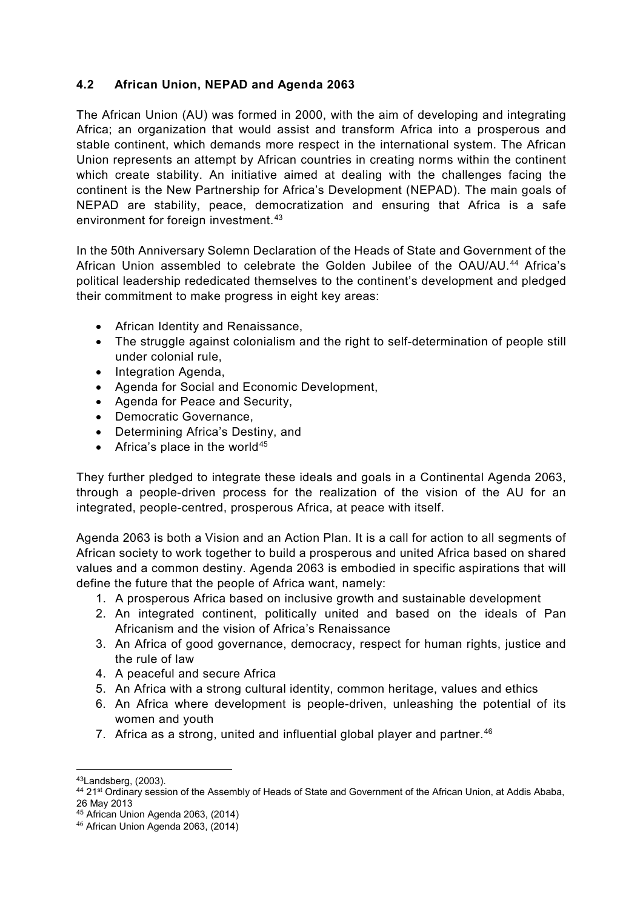### **4.2 African Union, NEPAD and Agenda 2063**

The African Union (AU) was formed in 2000, with the aim of developing and integrating Africa; an organization that would assist and transform Africa into a prosperous and stable continent, which demands more respect in the international system. The African Union represents an attempt by African countries in creating norms within the continent which create stability. An initiative aimed at dealing with the challenges facing the continent is the New Partnership for Africa's Development (NEPAD). The main goals of NEPAD are stability, peace, democratization and ensuring that Africa is a safe environment for foreign investment.<sup>[43](#page-12-0)</sup>

In the 50th Anniversary Solemn Declaration of the Heads of State and Government of the African Union assembled to celebrate the Golden Jubilee of the OAU/AU.<sup>[44](#page-12-1)</sup> Africa's political leadership rededicated themselves to the continent's development and pledged their commitment to make progress in eight key areas:

- African Identity and Renaissance,
- The struggle against colonialism and the right to self-determination of people still under colonial rule,
- Integration Agenda,
- Agenda for Social and Economic Development,
- Agenda for Peace and Security,
- Democratic Governance,
- Determining Africa's Destiny, and
- Africa's place in the world<sup>[45](#page-12-2)</sup>

They further pledged to integrate these ideals and goals in a Continental Agenda 2063, through a people-driven process for the realization of the vision of the AU for an integrated, people-centred, prosperous Africa, at peace with itself.

Agenda 2063 is both a Vision and an Action Plan. It is a call for action to all segments of African society to work together to build a prosperous and united Africa based on shared values and a common destiny. Agenda 2063 is embodied in specific aspirations that will define the future that the people of Africa want, namely:

- 1. A prosperous Africa based on inclusive growth and sustainable development
- 2. An integrated continent, politically united and based on the ideals of Pan Africanism and the vision of Africa's Renaissance
- 3. An Africa of good governance, democracy, respect for human rights, justice and the rule of law
- 4. A peaceful and secure Africa
- 5. An Africa with a strong cultural identity, common heritage, values and ethics
- 6. An Africa where development is people-driven, unleashing the potential of its women and youth
- 7. Africa as a strong, united and influential global player and partner.  $46$

 $\overline{a}$ 43Landsberg, (2003).

<span id="page-12-1"></span><span id="page-12-0"></span><sup>44 21&</sup>lt;sup>st</sup> Ordinary session of the Assembly of Heads of State and Government of the African Union, at Addis Ababa, 26 May 2013

 $45$  African Union Agenda 2063, (2014)

<span id="page-12-3"></span><span id="page-12-2"></span><sup>46</sup> African Union Agenda 2063, (2014)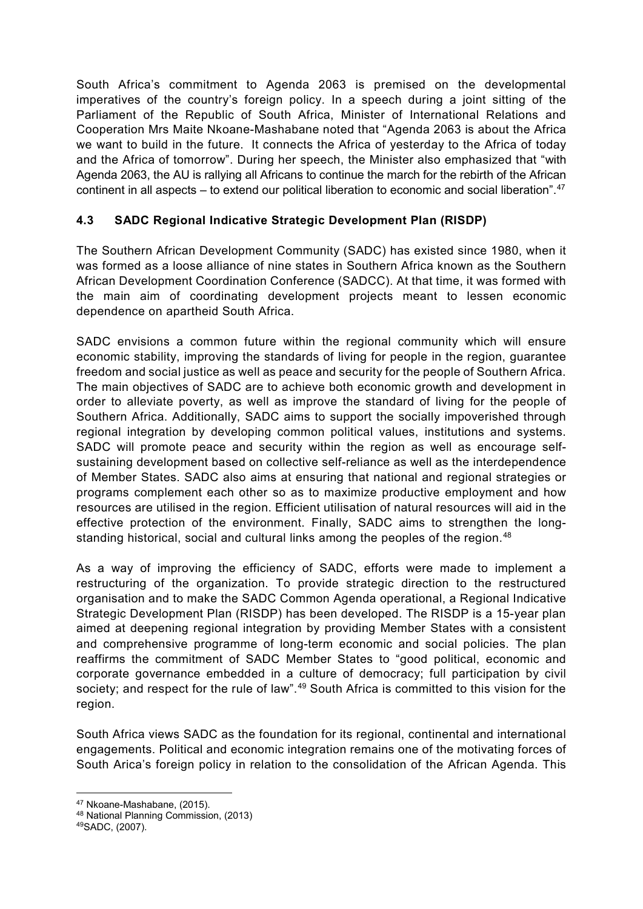South Africa's commitment to Agenda 2063 is premised on the developmental imperatives of the country's foreign policy. In a speech during a joint sitting of the Parliament of the Republic of South Africa, Minister of International Relations and Cooperation Mrs Maite Nkoane-Mashabane noted that "Agenda 2063 is about the Africa we want to build in the future. It connects the Africa of yesterday to the Africa of today and the Africa of tomorrow". During her speech, the Minister also emphasized that "with Agenda 2063, the AU is rallying all Africans to continue the march for the rebirth of the African continent in all aspects – to extend our political liberation to economic and social liberation". $47$ 

# **4.3 SADC Regional Indicative Strategic Development Plan (RISDP)**

The Southern African Development Community (SADC) has existed since 1980, when it was formed as a loose alliance of nine states in Southern Africa known as the Southern African Development Coordination Conference (SADCC). At that time, it was formed with the main aim of coordinating development projects meant to lessen economic dependence on apartheid South Africa.

SADC envisions a common future within the regional community which will ensure economic stability, improving the standards of living for people in the region, guarantee freedom and social justice as well as peace and security for the people of Southern Africa. The main objectives of SADC are to achieve both economic growth and development in order to alleviate poverty, as well as improve the standard of living for the people of Southern Africa. Additionally, SADC aims to support the socially impoverished through regional integration by developing common political values, institutions and systems. SADC will promote peace and security within the region as well as encourage selfsustaining development based on collective self-reliance as well as the interdependence of Member States. SADC also aims at ensuring that national and regional strategies or programs complement each other so as to maximize productive employment and how resources are utilised in the region. Efficient utilisation of natural resources will aid in the effective protection of the environment. Finally, SADC aims to strengthen the long-standing historical, social and cultural links among the peoples of the region.<sup>[48](#page-13-1)</sup>

As a way of improving the efficiency of SADC, efforts were made to implement a restructuring of the organization. To provide strategic direction to the restructured organisation and to make the SADC Common Agenda operational, a Regional Indicative Strategic Development Plan (RISDP) has been developed. The RISDP is a 15-year plan aimed at deepening regional integration by providing Member States with a consistent and comprehensive programme of long-term economic and social policies. The plan reaffirms the commitment of SADC Member States to "good political, economic and corporate governance embedded in a culture of democracy; full participation by civil society; and respect for the rule of law".<sup>[49](#page-13-2)</sup> South Africa is committed to this vision for the region.

South Africa views SADC as the foundation for its regional, continental and international engagements. Political and economic integration remains one of the motivating forces of South Arica's foreign policy in relation to the consolidation of the African Agenda. This

 $\overline{a}$ <sup>47</sup> Nkoane-Mashabane, (2015).

<span id="page-13-1"></span><span id="page-13-0"></span><sup>48</sup> National Planning Commission, (2013)

<span id="page-13-2"></span><sup>49</sup>SADC, (2007).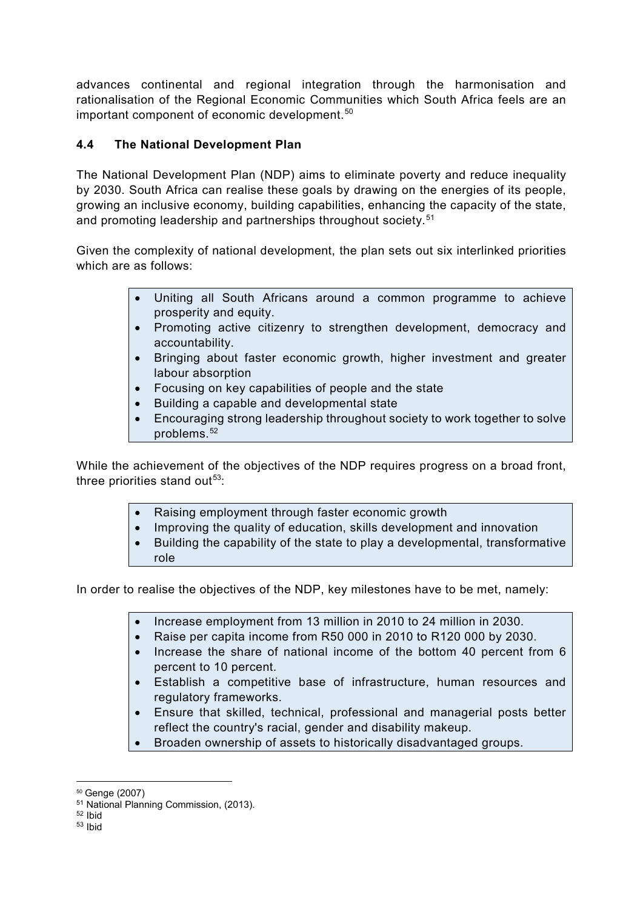advances continental and regional integration through the harmonisation and rationalisation of the Regional Economic Communities which South Africa feels are an important component of economic development.<sup>[50](#page-14-0)</sup>

### **4.4 The National Development Plan**

The National Development Plan (NDP) aims to eliminate poverty and reduce inequality by 2030. South Africa can realise these goals by drawing on the energies of its people, growing an inclusive economy, building capabilities, enhancing the capacity of the state, and promoting leadership and partnerships throughout society.<sup>[51](#page-14-1)</sup>

Given the complexity of national development, the plan sets out six interlinked priorities which are as follows:

- Uniting all South Africans around a common programme to achieve prosperity and equity.
- Promoting active citizenry to strengthen development, democracy and accountability.
- Bringing about faster economic growth, higher investment and greater labour absorption
- Focusing on key capabilities of people and the state
- Building a capable and developmental state
- Encouraging strong leadership throughout society to work together to solve problems  $52$

While the achievement of the objectives of the NDP requires progress on a broad front, three priorities stand out $53$ :

- Raising employment through faster economic growth
- Improving the quality of education, skills development and innovation
- Building the capability of the state to play a developmental, transformative role

In order to realise the objectives of the NDP, key milestones have to be met, namely:

- Increase employment from 13 million in 2010 to 24 million in 2030.
- Raise per capita income from R50 000 in 2010 to R120 000 by 2030.
- Increase the share of national income of the bottom 40 percent from 6 percent to 10 percent.
- Establish a competitive base of infrastructure, human resources and regulatory frameworks.
- Ensure that skilled, technical, professional and managerial posts better reflect the country's racial, gender and disability makeup.
- Broaden ownership of assets to historically disadvantaged groups.

 $\overline{a}$ <sup>50</sup> Genge (2007)

<span id="page-14-1"></span><span id="page-14-0"></span><sup>51</sup> National Planning Commission, (2013).

<span id="page-14-2"></span><sup>52</sup> Ibid

<span id="page-14-3"></span><sup>53</sup> Ibid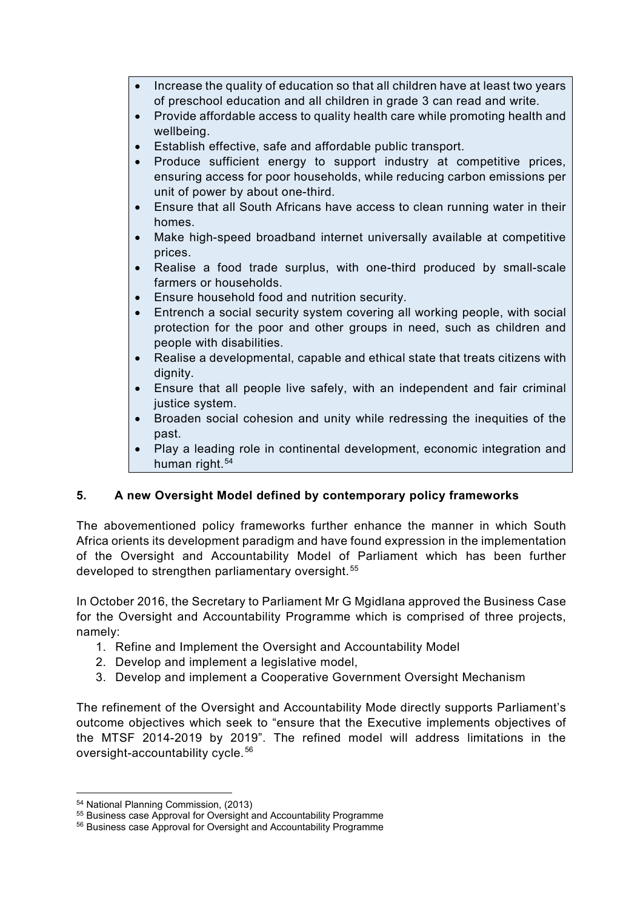- Increase the quality of education so that all children have at least two years of preschool education and all children in grade 3 can read and write.
- Provide affordable access to quality health care while promoting health and wellbeing.
- Establish effective, safe and affordable public transport.
- Produce sufficient energy to support industry at competitive prices, ensuring access for poor households, while reducing carbon emissions per unit of power by about one-third.
- Ensure that all South Africans have access to clean running water in their homes.
- Make high-speed broadband internet universally available at competitive prices.
- Realise a food trade surplus, with one-third produced by small-scale farmers or households.
- Ensure household food and nutrition security.
- Entrench a social security system covering all working people, with social protection for the poor and other groups in need, such as children and people with disabilities.
- Realise a developmental, capable and ethical state that treats citizens with dianity.
- Ensure that all people live safely, with an independent and fair criminal justice system.
- Broaden social cohesion and unity while redressing the inequities of the past.
- Play a leading role in continental development, economic integration and human right.<sup>[54](#page-15-0)</sup>

# **5. A new Oversight Model defined by contemporary policy frameworks**

The abovementioned policy frameworks further enhance the manner in which South Africa orients its development paradigm and have found expression in the implementation of the Oversight and Accountability Model of Parliament which has been further developed to strengthen parliamentary oversight.<sup>[55](#page-15-1)</sup>

In October 2016, the Secretary to Parliament Mr G Mgidlana approved the Business Case for the Oversight and Accountability Programme which is comprised of three projects, namely:

- 1. Refine and Implement the Oversight and Accountability Model
- 2. Develop and implement a legislative model,
- 3. Develop and implement a Cooperative Government Oversight Mechanism

The refinement of the Oversight and Accountability Mode directly supports Parliament's outcome objectives which seek to "ensure that the Executive implements objectives of the MTSF 2014-2019 by 2019". The refined model will address limitations in the oversight-accountability cycle.[56](#page-15-2)

 $\overline{a}$ <sup>54</sup> National Planning Commission, (2013)

<span id="page-15-1"></span><span id="page-15-0"></span><sup>&</sup>lt;sup>55</sup> Business case Approval for Oversight and Accountability Programme

<span id="page-15-2"></span><sup>56</sup> Business case Approval for Oversight and Accountability Programme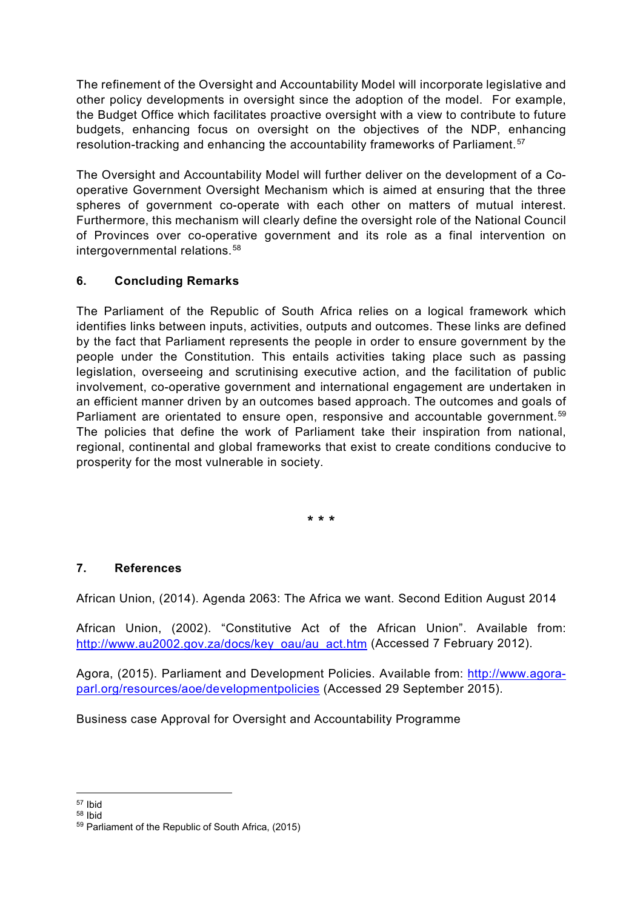The refinement of the Oversight and Accountability Model will incorporate legislative and other policy developments in oversight since the adoption of the model. For example, the Budget Office which facilitates proactive oversight with a view to contribute to future budgets, enhancing focus on oversight on the objectives of the NDP, enhancing resolution-tracking and enhancing the accountability frameworks of Parliament.<sup>[57](#page-16-0)</sup>

The Oversight and Accountability Model will further deliver on the development of a Cooperative Government Oversight Mechanism which is aimed at ensuring that the three spheres of government co-operate with each other on matters of mutual interest. Furthermore, this mechanism will clearly define the oversight role of the National Council of Provinces over co-operative government and its role as a final intervention on intergovernmental relations.<sup>[58](#page-16-1)</sup>

# **6. Concluding Remarks**

The Parliament of the Republic of South Africa relies on a logical framework which identifies links between inputs, activities, outputs and outcomes. These links are defined by the fact that Parliament represents the people in order to ensure government by the people under the Constitution. This entails activities taking place such as passing legislation, overseeing and scrutinising executive action, and the facilitation of public involvement, co-operative government and international engagement are undertaken in an efficient manner driven by an outcomes based approach. The outcomes and goals of Parliament are orientated to ensure open, responsive and accountable government.<sup>[59](#page-16-2)</sup> The policies that define the work of Parliament take their inspiration from national, regional, continental and global frameworks that exist to create conditions conducive to prosperity for the most vulnerable in society.

**\* \* \***

#### **7. References**

African Union, (2014). Agenda 2063: The Africa we want. Second Edition August 2014

African Union, (2002). "Constitutive Act of the African Union". Available from: [http://www.au2002.gov.za/docs/key\\_oau/au\\_act.htm](http://www.au2002.gov.za/docs/key_oau/au_act.htm) (Accessed 7 February 2012).

Agora, (2015). Parliament and Development Policies. Available from: [http://www.agora](http://www.agora-parl.org/resources/aoe/developmentpolicies)[parl.org/resources/aoe/developmentpolicies](http://www.agora-parl.org/resources/aoe/developmentpolicies) (Accessed 29 September 2015).

Business case Approval for Oversight and Accountability Programme

 $\overline{a}$ <sup>57</sup> Ibid

<span id="page-16-1"></span><span id="page-16-0"></span><sup>58</sup> Ibid

<span id="page-16-2"></span><sup>59</sup> Parliament of the Republic of South Africa, (2015)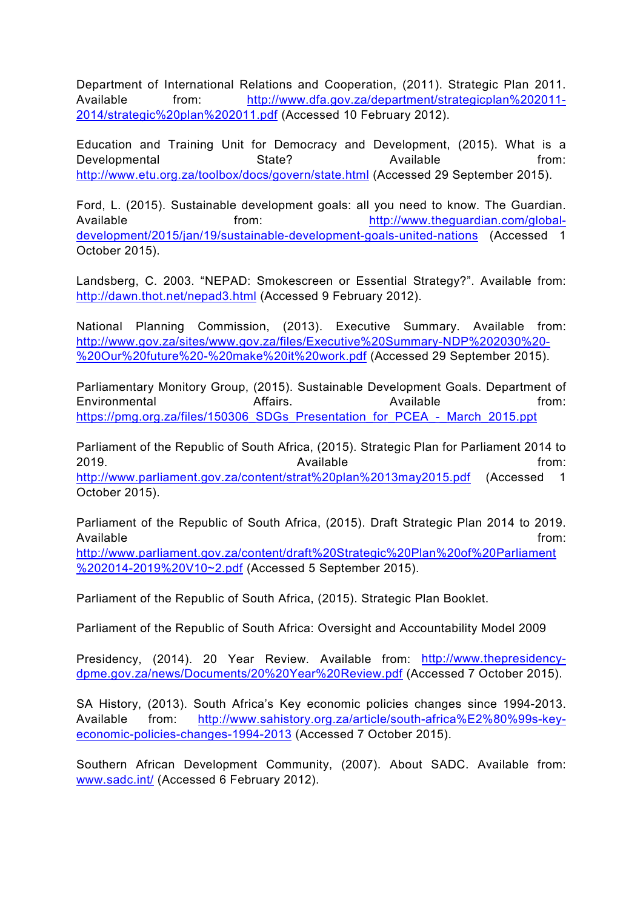Department of International Relations and Cooperation, (2011). Strategic Plan 2011. Available from: [http://www.dfa.gov.za/department/strategicplan%202011-](http://www.dfa.gov.za/department/strategicplan%202011-2014/strategic%20plan%202011.pdf) [2014/strategic%20plan%202011.pdf](http://www.dfa.gov.za/department/strategicplan%202011-2014/strategic%20plan%202011.pdf) (Accessed 10 February 2012).

Education and Training Unit for Democracy and Development, (2015). What is a Developmental State? State? Available from: <http://www.etu.org.za/toolbox/docs/govern/state.html> (Accessed 29 September 2015).

Ford, L. (2015). Sustainable development goals: all you need to know. The Guardian. Available from: [http://www.theguardian.com/global](http://www.theguardian.com/global-development/2015/jan/19/sustainable-development-goals-united-nations)[development/2015/jan/19/sustainable-development-goals-united-nations](http://www.theguardian.com/global-development/2015/jan/19/sustainable-development-goals-united-nations) (Accessed 1 October 2015).

Landsberg, C. 2003. "NEPAD: Smokescreen or Essential Strategy?". Available from: <http://dawn.thot.net/nepad3.html> (Accessed 9 February 2012).

National Planning Commission, (2013). Executive Summary. Available from: [http://www.gov.za/sites/www.gov.za/files/Executive%20Summary-NDP%202030%20-](http://www.gov.za/sites/www.gov.za/files/Executive%20Summary-NDP%202030%20-%20Our%20future%20-%20make%20it%20work.pdf) [%20Our%20future%20-%20make%20it%20work.pdf](http://www.gov.za/sites/www.gov.za/files/Executive%20Summary-NDP%202030%20-%20Our%20future%20-%20make%20it%20work.pdf) (Accessed 29 September 2015).

Parliamentary Monitory Group, (2015). Sustainable Development Goals. Department of Environmental **Affairs.** Available from: [https://pmg.org.za/files/150306\\_SDGs\\_Presentation\\_for\\_PCEA\\_-\\_March\\_2015.ppt](https://pmg.org.za/files/150306_SDGs_Presentation_for_PCEA_-_March_2015.ppt)

Parliament of the Republic of South Africa, (2015). Strategic Plan for Parliament 2014 to 2019. Available from: <http://www.parliament.gov.za/content/strat%20plan%2013may2015.pdf> (Accessed 1 October 2015).

Parliament of the Republic of South Africa, (2015). Draft Strategic Plan 2014 to 2019. Available from: [http://www.parliament.gov.za/content/draft%20Strategic%20Plan%20of%20Parliament](http://www.parliament.gov.za/content/draft%20Strategic%20Plan%20of%20Parliament%202014-2019%20V10%7E2.pdf) [%202014-2019%20V10~2.pdf](http://www.parliament.gov.za/content/draft%20Strategic%20Plan%20of%20Parliament%202014-2019%20V10%7E2.pdf) (Accessed 5 September 2015).

Parliament of the Republic of South Africa, (2015). Strategic Plan Booklet.

Parliament of the Republic of South Africa: Oversight and Accountability Model 2009

Presidency, (2014). 20 Year Review. Available from: [http://www.thepresidency](http://www.thepresidency-dpme.gov.za/news/Documents/20%20Year%20Review.pdf)[dpme.gov.za/news/Documents/20%20Year%20Review.pdf](http://www.thepresidency-dpme.gov.za/news/Documents/20%20Year%20Review.pdf) (Accessed 7 October 2015).

SA History, (2013). South Africa's Key economic policies changes since 1994-2013. Available from: [http://www.sahistory.org.za/article/south-africa%E2%80%99s-key](http://www.sahistory.org.za/article/south-africa%E2%80%99s-key-economic-policies-changes-1994-2013)[economic-policies-changes-1994-2013](http://www.sahistory.org.za/article/south-africa%E2%80%99s-key-economic-policies-changes-1994-2013) (Accessed 7 October 2015).

Southern African Development Community, (2007). About SADC. Available from: [www.sadc.int/](http://www.sadc.int/) (Accessed 6 February 2012).